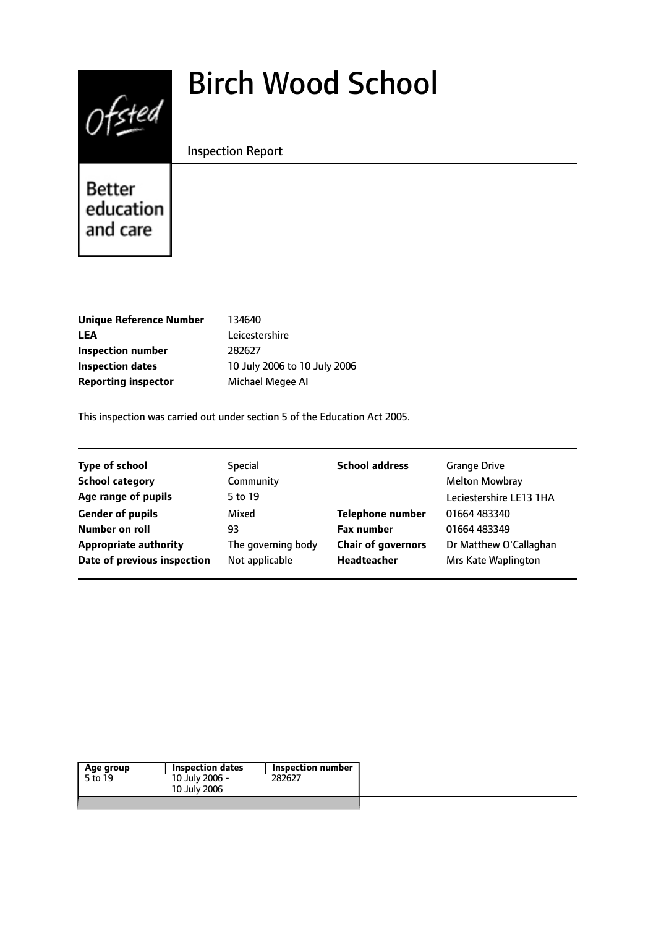# $0$ fsted

# Birch Wood School

Inspection Report

**Better** education and care

| <b>Unique Reference Number</b> |
|--------------------------------|
| LEA                            |
| Inspection number              |
| <b>Inspection dates</b>        |
| <b>Reporting inspector</b>     |

**Unique Reference Number** 134640 Leicestershire **Inspection number** 282627 **Inspection dates** 10 July 2006 to 10 July 2006 **Michael Megee AI** 

This inspection was carried out under section 5 of the Education Act 2005.

| <b>Type of school</b>        | <b>Special</b>     | <b>School address</b>     | <b>Grange Drive</b>     |
|------------------------------|--------------------|---------------------------|-------------------------|
| <b>School category</b>       | Community          |                           | <b>Melton Mowbray</b>   |
| Age range of pupils          | 5 to 19            |                           | Leciestershire LE13 1HA |
| <b>Gender of pupils</b>      | Mixed              | <b>Telephone number</b>   | 01664 483340            |
| Number on roll               | 93                 | <b>Fax number</b>         | 01664 483349            |
| <b>Appropriate authority</b> | The governing body | <b>Chair of governors</b> | Dr Matthew O'Callaghan  |
| Date of previous inspection  | Not applicable     | Headteacher               | Mrs Kate Waplington     |

| Age group<br>5 to 19 | <b>Inspection dates</b><br>10 July 2006 -<br>10 July 2006 | Inspection number<br>282627 |  |
|----------------------|-----------------------------------------------------------|-----------------------------|--|
|                      |                                                           |                             |  |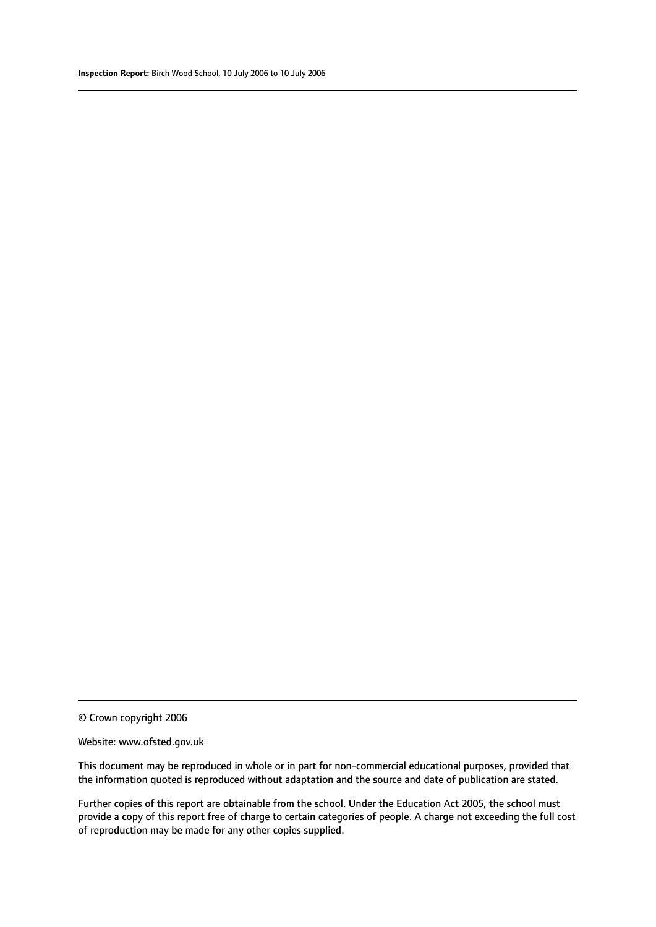#### Website: www.ofsted.gov.uk

This document may be reproduced in whole or in part for non-commercial educational purposes, provided that the information quoted is reproduced without adaptation and the source and date of publication are stated.

Further copies of this report are obtainable from the school. Under the Education Act 2005, the school must provide a copy of this report free of charge to certain categories of people. A charge not exceeding the full cost of reproduction may be made for any other copies supplied.

<sup>©</sup> Crown copyright 2006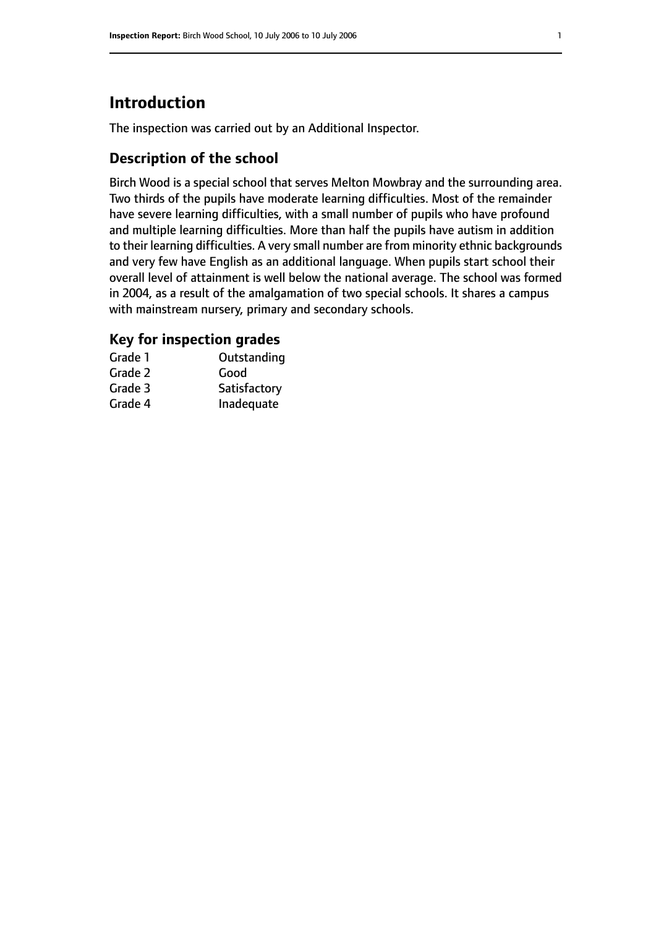# **Introduction**

The inspection was carried out by an Additional Inspector.

#### **Description of the school**

Birch Wood is a special school that serves Melton Mowbray and the surrounding area. Two thirds of the pupils have moderate learning difficulties. Most of the remainder have severe learning difficulties, with a small number of pupils who have profound and multiple learning difficulties. More than half the pupils have autism in addition to their learning difficulties. A very small number are from minority ethnic backgrounds and very few have English as an additional language. When pupils start school their overall level of attainment is well below the national average. The school was formed in 2004, as a result of the amalgamation of two special schools. It shares a campus with mainstream nursery, primary and secondary schools.

# **Key for inspection grades**

| Grade 1 | Outstanding  |
|---------|--------------|
| Grade 2 | Good         |
| Grade 3 | Satisfactory |
| Grade 4 | Inadequate   |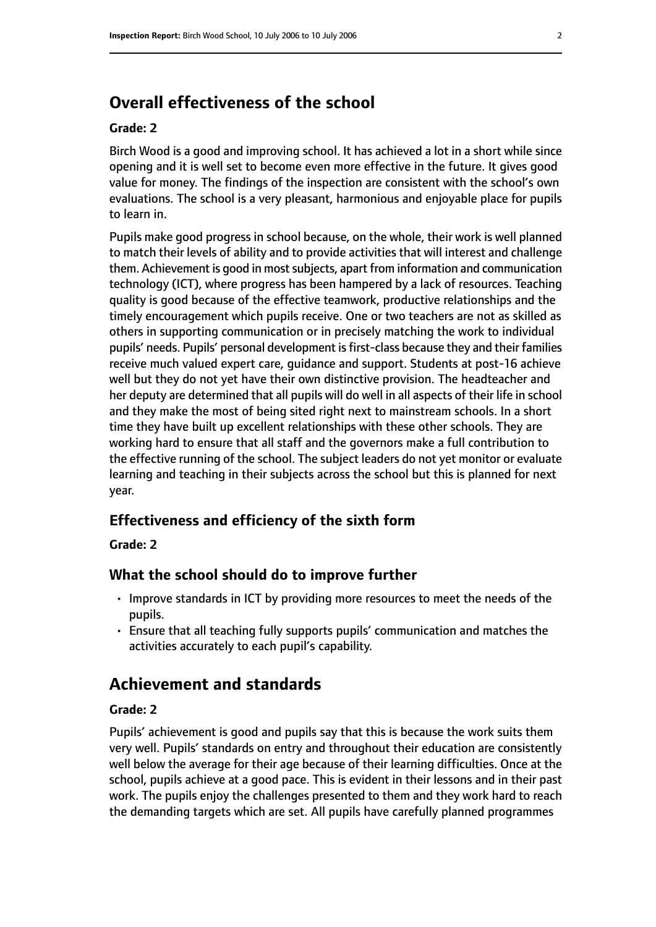# **Overall effectiveness of the school**

#### **Grade: 2**

Birch Wood is a good and improving school. It has achieved a lot in a short while since opening and it is well set to become even more effective in the future. It gives good value for money. The findings of the inspection are consistent with the school's own evaluations. The school is a very pleasant, harmonious and enjoyable place for pupils to learn in.

Pupils make good progress in school because, on the whole, their work is well planned to match their levels of ability and to provide activities that will interest and challenge them. Achievement is good in most subjects, apart from information and communication technology (ICT), where progress has been hampered by a lack of resources. Teaching quality is good because of the effective teamwork, productive relationships and the timely encouragement which pupils receive. One or two teachers are not as skilled as others in supporting communication or in precisely matching the work to individual pupils' needs. Pupils' personal development is first-class because they and their families receive much valued expert care, guidance and support. Students at post-16 achieve well but they do not yet have their own distinctive provision. The headteacher and her deputy are determined that all pupils will do well in all aspects of their life in school and they make the most of being sited right next to mainstream schools. In a short time they have built up excellent relationships with these other schools. They are working hard to ensure that all staff and the governors make a full contribution to the effective running of the school. The subject leaders do not yet monitor or evaluate learning and teaching in their subjects across the school but this is planned for next year.

### **Effectiveness and efficiency of the sixth form**

**Grade: 2**

#### **What the school should do to improve further**

- Improve standards in ICT by providing more resources to meet the needs of the pupils.
- Ensure that all teaching fully supports pupils' communication and matches the activities accurately to each pupil's capability.

# **Achievement and standards**

#### **Grade: 2**

Pupils' achievement is good and pupils say that this is because the work suits them very well. Pupils' standards on entry and throughout their education are consistently well below the average for their age because of their learning difficulties. Once at the school, pupils achieve at a good pace. This is evident in their lessons and in their past work. The pupils enjoy the challenges presented to them and they work hard to reach the demanding targets which are set. All pupils have carefully planned programmes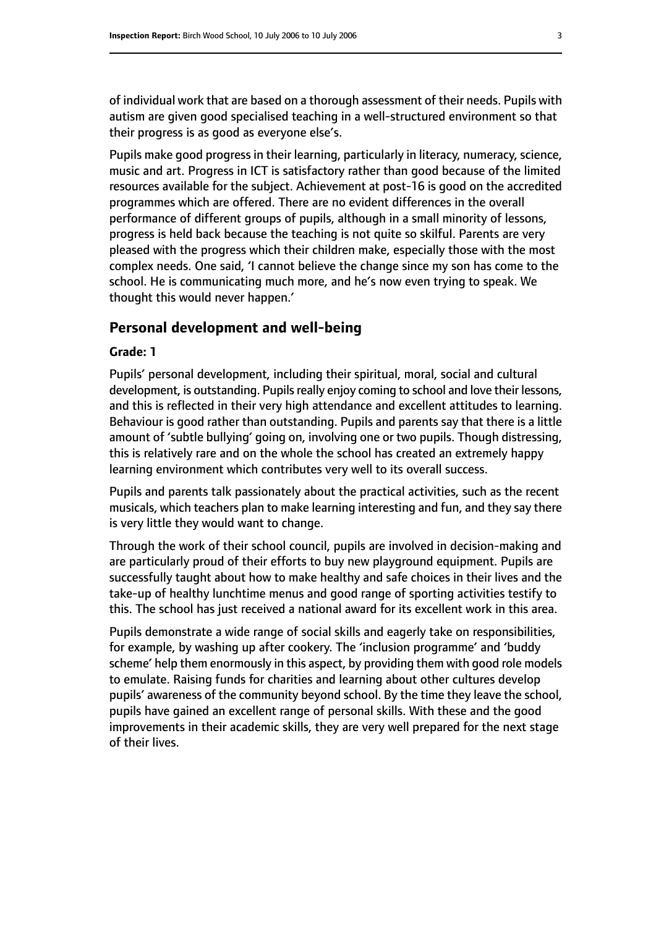of individual work that are based on a thorough assessment of their needs. Pupils with autism are given good specialised teaching in a well-structured environment so that their progress is as good as everyone else's.

Pupils make good progress in their learning, particularly in literacy, numeracy, science, music and art. Progress in ICT is satisfactory rather than good because of the limited resources available for the subject. Achievement at post-16 is good on the accredited programmes which are offered. There are no evident differences in the overall performance of different groups of pupils, although in a small minority of lessons, progress is held back because the teaching is not quite so skilful. Parents are very pleased with the progress which their children make, especially those with the most complex needs. One said, 'I cannot believe the change since my son has come to the school. He is communicating much more, and he's now even trying to speak. We thought this would never happen.'

#### **Personal development and well-being**

#### **Grade: 1**

Pupils' personal development, including their spiritual, moral, social and cultural development, is outstanding. Pupils really enjoy coming to school and love their lessons, and this is reflected in their very high attendance and excellent attitudes to learning. Behaviour is good rather than outstanding. Pupils and parents say that there is a little amount of 'subtle bullying' going on, involving one or two pupils. Though distressing, this is relatively rare and on the whole the school has created an extremely happy learning environment which contributes very well to its overall success.

Pupils and parents talk passionately about the practical activities, such as the recent musicals, which teachers plan to make learning interesting and fun, and they say there is very little they would want to change.

Through the work of their school council, pupils are involved in decision-making and are particularly proud of their efforts to buy new playground equipment. Pupils are successfully taught about how to make healthy and safe choices in their lives and the take-up of healthy lunchtime menus and good range of sporting activities testify to this. The school has just received a national award for its excellent work in this area.

Pupils demonstrate a wide range of social skills and eagerly take on responsibilities, for example, by washing up after cookery. The 'inclusion programme' and 'buddy scheme' help them enormously in this aspect, by providing them with good role models to emulate. Raising funds for charities and learning about other cultures develop pupils' awareness of the community beyond school. By the time they leave the school, pupils have gained an excellent range of personal skills. With these and the good improvements in their academic skills, they are very well prepared for the next stage of their lives.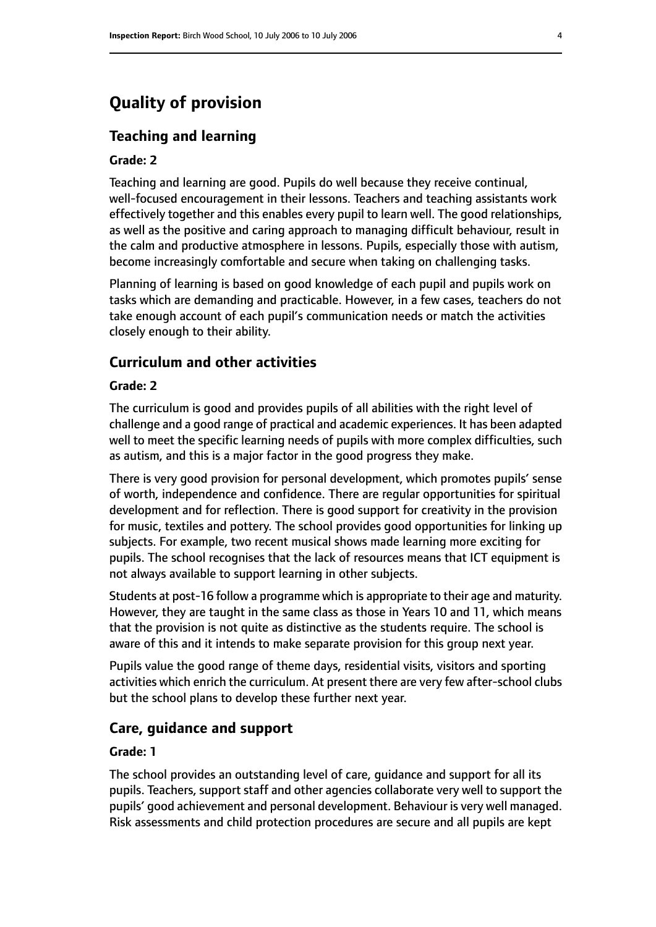# **Quality of provision**

#### **Teaching and learning**

#### **Grade: 2**

Teaching and learning are good. Pupils do well because they receive continual, well-focused encouragement in their lessons. Teachers and teaching assistants work effectively together and this enables every pupil to learn well. The good relationships, as well as the positive and caring approach to managing difficult behaviour, result in the calm and productive atmosphere in lessons. Pupils, especially those with autism, become increasingly comfortable and secure when taking on challenging tasks.

Planning of learning is based on good knowledge of each pupil and pupils work on tasks which are demanding and practicable. However, in a few cases, teachers do not take enough account of each pupil's communication needs or match the activities closely enough to their ability.

#### **Curriculum and other activities**

#### **Grade: 2**

The curriculum is good and provides pupils of all abilities with the right level of challenge and a good range of practical and academic experiences. It has been adapted well to meet the specific learning needs of pupils with more complex difficulties, such as autism, and this is a major factor in the good progress they make.

There is very good provision for personal development, which promotes pupils' sense of worth, independence and confidence. There are regular opportunities for spiritual development and for reflection. There is good support for creativity in the provision for music, textiles and pottery. The school provides good opportunities for linking up subjects. For example, two recent musical shows made learning more exciting for pupils. The school recognises that the lack of resources means that ICT equipment is not always available to support learning in other subjects.

Students at post-16 follow a programme which is appropriate to their age and maturity. However, they are taught in the same class as those in Years 10 and 11, which means that the provision is not quite as distinctive as the students require. The school is aware of this and it intends to make separate provision for this group next year.

Pupils value the good range of theme days, residential visits, visitors and sporting activities which enrich the curriculum. At present there are very few after-school clubs but the school plans to develop these further next year.

#### **Care, guidance and support**

#### **Grade: 1**

The school provides an outstanding level of care, guidance and support for all its pupils. Teachers, support staff and other agencies collaborate very well to support the pupils' good achievement and personal development. Behaviour is very well managed. Risk assessments and child protection procedures are secure and all pupils are kept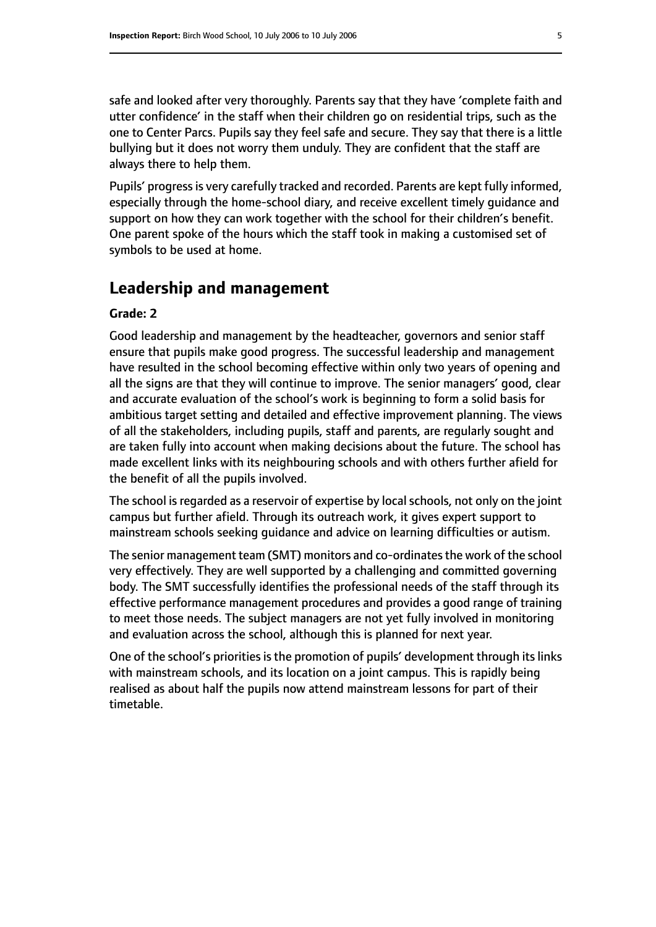safe and looked after very thoroughly. Parents say that they have 'complete faith and utter confidence' in the staff when their children go on residential trips, such as the one to Center Parcs. Pupils say they feel safe and secure. They say that there is a little bullying but it does not worry them unduly. They are confident that the staff are always there to help them.

Pupils' progress is very carefully tracked and recorded. Parents are kept fully informed, especially through the home-school diary, and receive excellent timely guidance and support on how they can work together with the school for their children's benefit. One parent spoke of the hours which the staff took in making a customised set of symbols to be used at home.

# **Leadership and management**

#### **Grade: 2**

Good leadership and management by the headteacher, governors and senior staff ensure that pupils make good progress. The successful leadership and management have resulted in the school becoming effective within only two years of opening and all the signs are that they will continue to improve. The senior managers' good, clear and accurate evaluation of the school's work is beginning to form a solid basis for ambitious target setting and detailed and effective improvement planning. The views of all the stakeholders, including pupils, staff and parents, are regularly sought and are taken fully into account when making decisions about the future. The school has made excellent links with its neighbouring schools and with others further afield for the benefit of all the pupils involved.

The school is regarded as a reservoir of expertise by local schools, not only on the joint campus but further afield. Through its outreach work, it gives expert support to mainstream schools seeking guidance and advice on learning difficulties or autism.

The senior management team (SMT) monitors and co-ordinates the work of the school very effectively. They are well supported by a challenging and committed governing body. The SMT successfully identifies the professional needs of the staff through its effective performance management procedures and provides a good range of training to meet those needs. The subject managers are not yet fully involved in monitoring and evaluation across the school, although this is planned for next year.

One of the school's priorities is the promotion of pupils' development through its links with mainstream schools, and its location on a joint campus. This is rapidly being realised as about half the pupils now attend mainstream lessons for part of their timetable.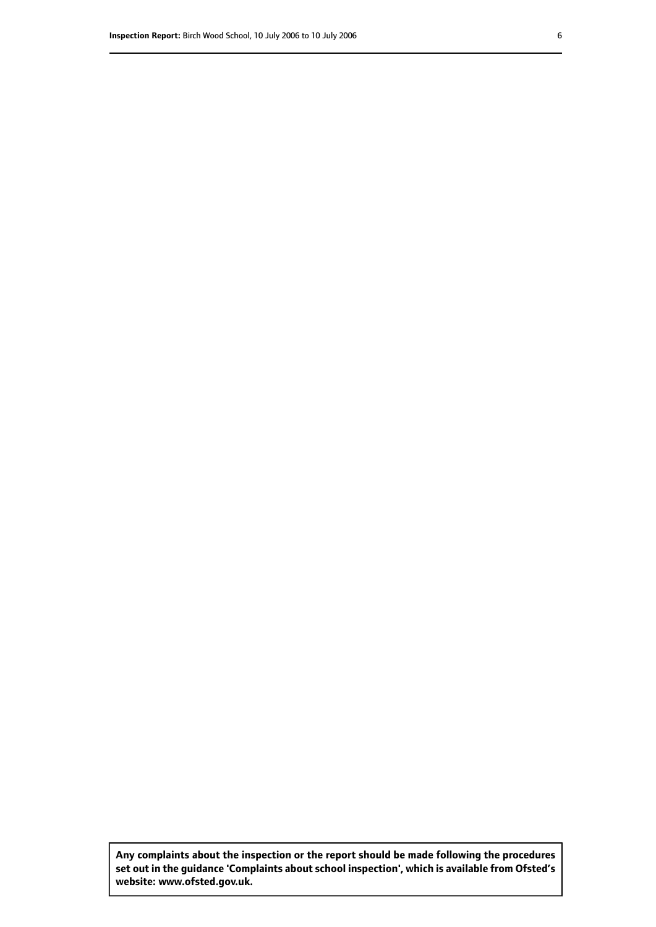**Any complaints about the inspection or the report should be made following the procedures set out inthe guidance 'Complaints about school inspection', whichis available from Ofsted's website: www.ofsted.gov.uk.**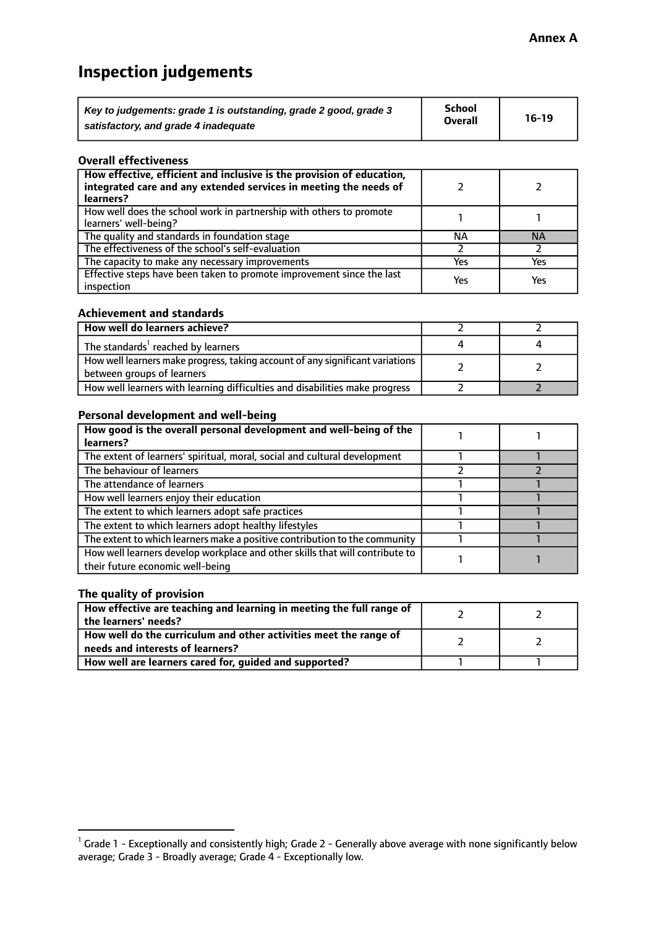# **Inspection judgements**

| Key to judgements: grade 1 is outstanding, grade 2 good, grade 3 | School         | $16-19$ |
|------------------------------------------------------------------|----------------|---------|
| satisfactory, and grade 4 inadequate                             | <b>Overall</b> |         |

#### **Overall effectiveness**

| How effective, efficient and inclusive is the provision of education,<br>integrated care and any extended services in meeting the needs of<br>learners? |     |           |
|---------------------------------------------------------------------------------------------------------------------------------------------------------|-----|-----------|
| How well does the school work in partnership with others to promote<br>learners' well-being?                                                            |     |           |
| The quality and standards in foundation stage                                                                                                           | ΝA  | <b>NA</b> |
| The effectiveness of the school's self-evaluation                                                                                                       |     |           |
| The capacity to make any necessary improvements                                                                                                         | Yes | Yes       |
| Effective steps have been taken to promote improvement since the last<br>inspection                                                                     | Yes | Yes       |

#### **Achievement and standards**

| How well do learners achieve?                                                                               |  |
|-------------------------------------------------------------------------------------------------------------|--|
| The standards <sup>1</sup> reached by learners                                                              |  |
| How well learners make progress, taking account of any significant variations<br>between groups of learners |  |
| How well learners with learning difficulties and disabilities make progress                                 |  |

#### **Personal development and well-being**

| How good is the overall personal development and well-being of the<br>learners?                                  |  |
|------------------------------------------------------------------------------------------------------------------|--|
|                                                                                                                  |  |
| The extent of learners' spiritual, moral, social and cultural development                                        |  |
| The behaviour of learners                                                                                        |  |
| The attendance of learners                                                                                       |  |
| How well learners enjoy their education                                                                          |  |
| The extent to which learners adopt safe practices                                                                |  |
| The extent to which learners adopt healthy lifestyles                                                            |  |
| The extent to which learners make a positive contribution to the community                                       |  |
| How well learners develop workplace and other skills that will contribute to<br>their future economic well-being |  |

#### **The quality of provision**

| How effective are teaching and learning in meeting the full range of<br>the learners' needs?          |  |
|-------------------------------------------------------------------------------------------------------|--|
| How well do the curriculum and other activities meet the range of<br>needs and interests of learners? |  |
| How well are learners cared for, guided and supported?                                                |  |

 $^1$  Grade 1 - Exceptionally and consistently high; Grade 2 - Generally above average with none significantly below average; Grade 3 - Broadly average; Grade 4 - Exceptionally low.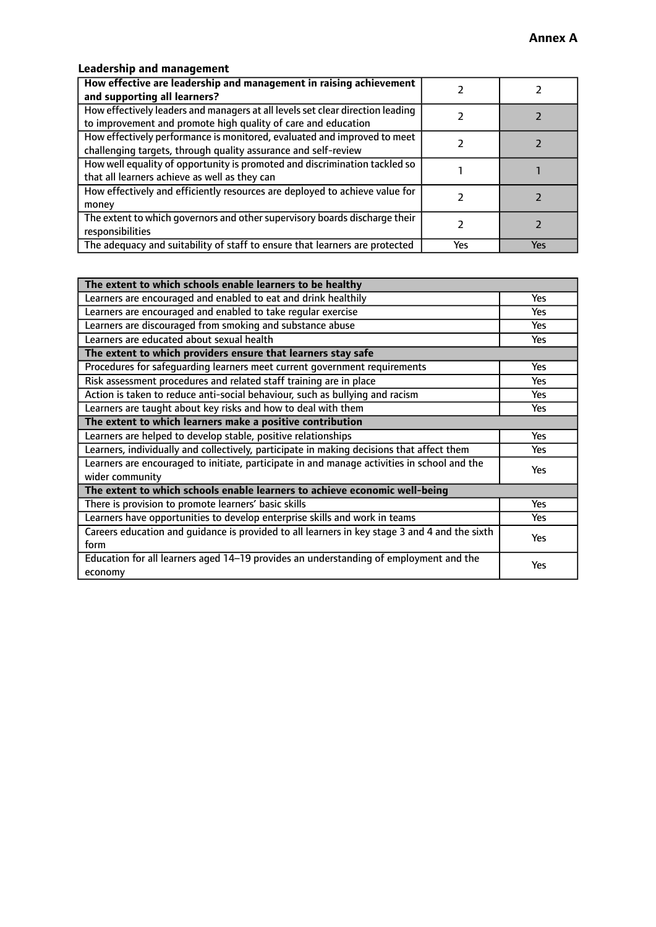## **Leadership and management**

| How effective are leadership and management in raising achievement<br>and supporting all learners?                                              |     |     |
|-------------------------------------------------------------------------------------------------------------------------------------------------|-----|-----|
| How effectively leaders and managers at all levels set clear direction leading<br>to improvement and promote high quality of care and education |     |     |
| How effectively performance is monitored, evaluated and improved to meet<br>challenging targets, through quality assurance and self-review      |     |     |
| How well equality of opportunity is promoted and discrimination tackled so<br>that all learners achieve as well as they can                     |     |     |
| How effectively and efficiently resources are deployed to achieve value for<br>money                                                            |     |     |
| The extent to which governors and other supervisory boards discharge their<br>responsibilities                                                  |     |     |
| The adequacy and suitability of staff to ensure that learners are protected                                                                     | Yes | Yes |

| The extent to which schools enable learners to be healthy                                     |            |
|-----------------------------------------------------------------------------------------------|------------|
| Learners are encouraged and enabled to eat and drink healthily                                | Yes        |
| Learners are encouraged and enabled to take regular exercise                                  | <b>Yes</b> |
| Learners are discouraged from smoking and substance abuse                                     | Yes        |
| Learners are educated about sexual health                                                     | Yes        |
| The extent to which providers ensure that learners stay safe                                  |            |
| Procedures for safequarding learners meet current government requirements                     | Yes        |
| Risk assessment procedures and related staff training are in place                            | <b>Yes</b> |
| Action is taken to reduce anti-social behaviour, such as bullying and racism                  | Yes        |
| Learners are taught about key risks and how to deal with them                                 | Yes        |
| The extent to which learners make a positive contribution                                     |            |
| Learners are helped to develop stable, positive relationships                                 | <b>Yes</b> |
| Learners, individually and collectively, participate in making decisions that affect them     | <b>Yes</b> |
| Learners are encouraged to initiate, participate in and manage activities in school and the   | Yes        |
| wider community                                                                               |            |
| The extent to which schools enable learners to achieve economic well-being                    |            |
| There is provision to promote learners' basic skills                                          | Yes        |
| Learners have opportunities to develop enterprise skills and work in teams                    | Yes        |
| Careers education and quidance is provided to all learners in key stage 3 and 4 and the sixth | Yes        |
| form                                                                                          |            |
| Education for all learners aged 14-19 provides an understanding of employment and the         | Yes        |
| economy                                                                                       |            |